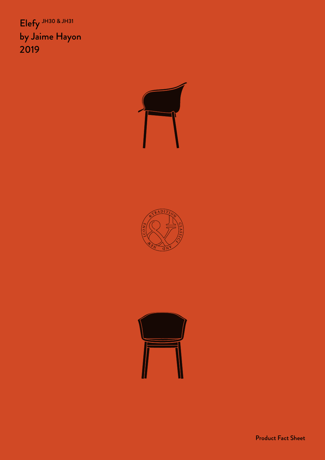Elefy JH30 & JH31 by Jaime Hayon 2019







Product Fact Sheet